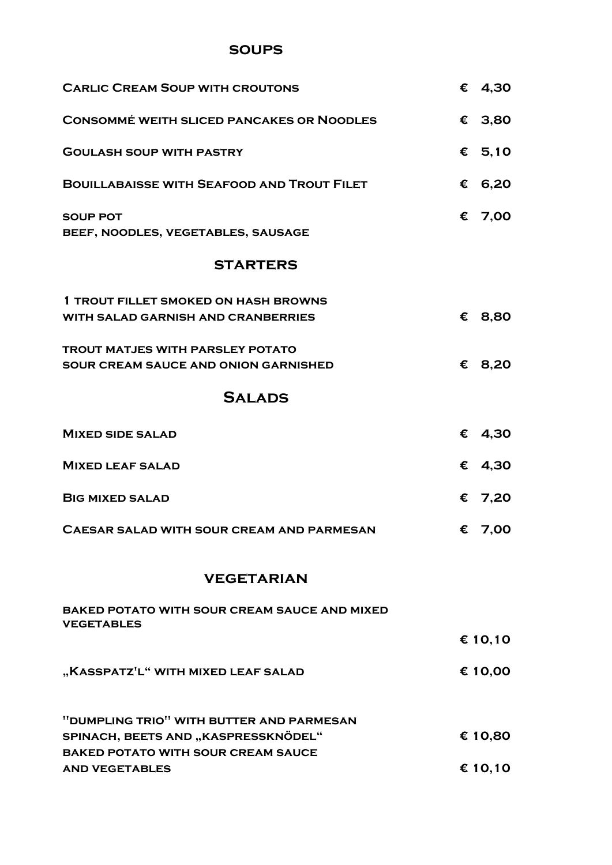### **soups**

| <b>CARLIC CREAM SOUP WITH CROUTONS</b>                                                   | € 4,30    |
|------------------------------------------------------------------------------------------|-----------|
| <b>CONSOMMÉ WEITH SLICED PANCAKES OR NOODLES</b>                                         | € 3,80    |
| <b>GOULASH SOUP WITH PASTRY</b>                                                          | € $5,10$  |
| <b>BOUILLABAISSE WITH SEAFOOD AND TROUT FILET</b>                                        | € 6,20    |
| <b>SOUP POT</b><br>BEEF, NOODLES, VEGETABLES, SAUSAGE                                    | € 7,00    |
| <b>STARTERS</b>                                                                          |           |
| <b>1 TROUT FILLET SMOKED ON HASH BROWNS</b><br><b>WITH SALAD GARNISH AND CRANBERRIES</b> | € 8,80    |
| <b>TROUT MATJES WITH PARSLEY POTATO</b><br><b>SOUR CREAM SAUCE AND ONION GARNISHED</b>   | € 8,20    |
| <b>SALADS</b>                                                                            |           |
| <b>MIXED SIDE SALAD</b>                                                                  | € 4,30    |
| <b>MIXED LEAF SALAD</b>                                                                  | € 4,30    |
| <b>BIG MIXED SALAD</b>                                                                   | $E$ 7,20  |
| <b>CAESAR SALAD WITH SOUR CREAM AND PARMESAN</b>                                         | € 7,00    |
| <b>VEGETARIAN</b>                                                                        |           |
| <b>BAKED POTATO WITH SOUR CREAM SAUCE AND MIXED</b><br><b>VEGETABLES</b>                 |           |
|                                                                                          | € 10,10   |
| "KASSPATZ'L" WITH MIXED LEAF SALAD                                                       | € 10,00   |
| "DUMPLING TRIO" WITH BUTTER AND PARMESAN<br>SPINACH REETS AND KASPRESSKNÖDEL"            | $f$ 10 RO |

**spinach, beets and "kaspressknödel" € 10,80 baked potato with sour cream sauce and vegetables € 10,10**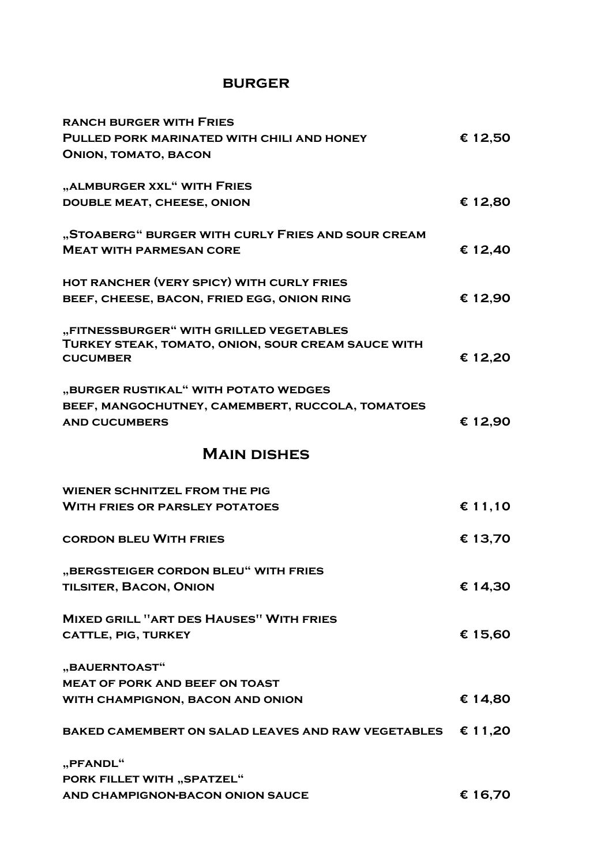### **burger**

| <b>RANCH BURGER WITH FRIES</b>                     |         |
|----------------------------------------------------|---------|
| PULLED PORK MARINATED WITH CHILI AND HONEY         | € 12,50 |
| <b>ONION, TOMATO, BACON</b>                        |         |
|                                                    |         |
| "ALMBURGER XXL" WITH FRIES                         |         |
| <b>DOUBLE MEAT, CHEESE, ONION</b>                  | € 12,80 |
|                                                    |         |
| "STOABERG" BURGER WITH CURLY FRIES AND SOUR CREAM  | € 12,40 |
| <b>MEAT WITH PARMESAN CORE</b>                     |         |
| HOT RANCHER (VERY SPICY) WITH CURLY FRIES          |         |
| BEEF, CHEESE, BACON, FRIED EGG, ONION RING         | € 12,90 |
|                                                    |         |
| "FITNESSBURGER" WITH GRILLED VEGETABLES            |         |
| TURKEY STEAK, TOMATO, ONION, SOUR CREAM SAUCE WITH |         |
| <b>CUCUMBER</b>                                    | € 12,20 |
| "BURGER RUSTIKAL" WITH POTATO WEDGES               |         |
| BEEF, MANGOCHUTNEY, CAMEMBERT, RUCCOLA, TOMATOES   |         |
| <b>AND CUCUMBERS</b>                               | € 12,90 |
|                                                    |         |
| <b>MAIN DISHES</b>                                 |         |
| <b>WIENER SCHNITZEL FROM THE PIG</b>               |         |
| <b>WITH FRIES OR PARSLEY POTATOES</b>              |         |
|                                                    | € 11,10 |
| <b>CORDON BLEU WITH FRIES</b>                      | € 13,70 |
|                                                    |         |
| "BERGSTEIGER CORDON BLEU" WITH FRIES               |         |
| <b>TILSITER, BACON, ONION</b>                      | € 14,30 |
|                                                    |         |
| <b>MIXED GRILL "ART DES HAUSES" WITH FRIES</b>     |         |
| <b>CATTLE, PIG, TURKEY</b>                         | € 15,60 |
| "BAUERNTOAST"                                      |         |
| <b>MEAT OF PORK AND BEEF ON TOAST</b>              |         |
|                                                    |         |
|                                                    |         |
| WITH CHAMPIGNON, BACON AND ONION                   | € 14,80 |
| BAKED CAMEMBERT ON SALAD LEAVES AND RAW VEGETABLES | € 11,20 |
|                                                    |         |
| "PFANDL"                                           |         |
| <b>PORK FILLET WITH "SPATZEL"</b>                  |         |
| AND CHAMPIGNON-BACON ONION SAUCE                   | € 16,70 |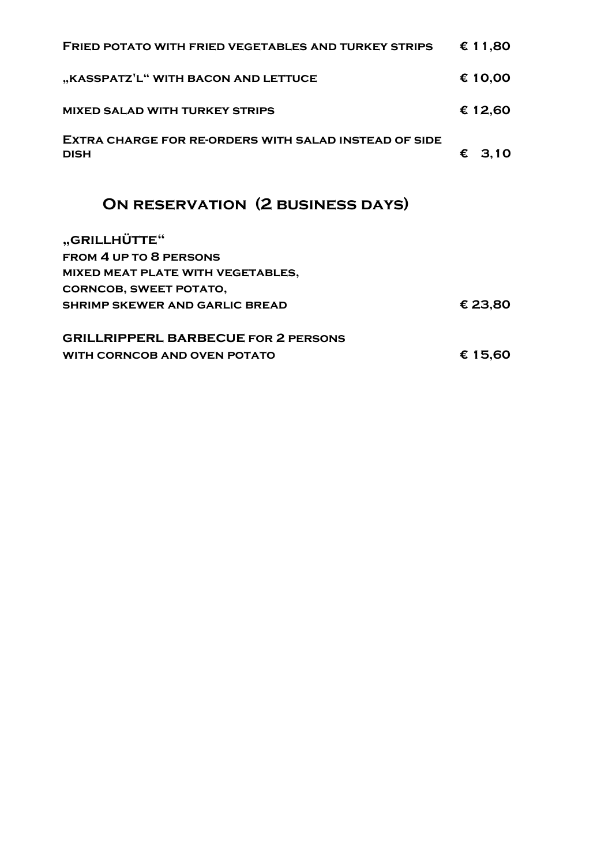| <b>FRIED POTATO WITH FRIED VEGETABLES AND TURKEY STRIPS</b>                 | € 11,80  |
|-----------------------------------------------------------------------------|----------|
| "KASSPATZ <sup>'</sup> L" WITH BACON AND LETTUCE                            | € 10,00  |
| <b>MIXED SALAD WITH TURKEY STRIPS</b>                                       | € 12,60  |
| <b>EXTRA CHARGE FOR RE-ORDERS WITH SALAD INSTEAD OF SIDE</b><br><b>DISH</b> | $E$ 3,10 |
| <b>ON RESERVATION (2 BUSINESS DAYS)</b>                                     |          |
| "GRILLHÜTTE"                                                                |          |
| <b>FROM 4 UP TO 8 PERSONS</b>                                               |          |
| MIXED MEAT PLATE WITH VEGETABLES,                                           |          |
| <b>CORNCOB, SWEET POTATO,</b>                                               |          |
| <b>SHRIMP SKEWER AND GARLIC BREAD</b>                                       | € 23,80  |
| <b>GRILLRIPPERL BARBECUE FOR 2 PERSONS</b>                                  |          |
| <b>WITH CORNCOB AND OVEN POTATO</b>                                         | € 15,60  |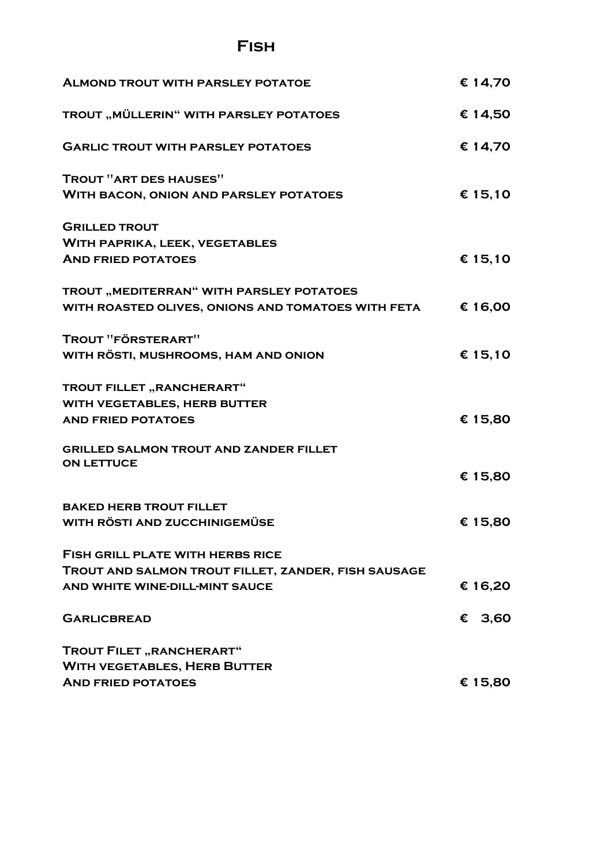# **Fish**

| <b>ALMOND TROUT WITH PARSLEY POTATOE</b>            | € 14,70 |
|-----------------------------------------------------|---------|
| TROUT "MÜLLERIN" WITH PARSLEY POTATOES              | € 14,50 |
| <b>GARLIC TROUT WITH PARSLEY POTATOES</b>           | € 14,70 |
| TROUT "ART DES HAUSES"                              |         |
| <b>WITH BACON, ONION AND PARSLEY POTATOES</b>       | € 15,10 |
| <b>GRILLED TROUT</b>                                |         |
| <b>WITH PAPRIKA, LEEK, VEGETABLES</b>               |         |
| <b>AND FRIED POTATOES</b>                           | € 15,10 |
| TROUT "MEDITERRAN" WITH PARSLEY POTATOES            |         |
| WITH ROASTED OLIVES, ONIONS AND TOMATOES WITH FETA  | € 16,00 |
| TROUT "FÖRSTERART"                                  |         |
| WITH RÖSTI, MUSHROOMS, HAM AND ONION                | € 15,10 |
| TROUT FILLET "RANCHERART"                           |         |
| WITH VEGETABLES, HERB BUTTER                        |         |
| <b>AND FRIED POTATOES</b>                           | € 15,80 |
| <b>GRILLED SALMON TROUT AND ZANDER FILLET</b>       |         |
| <b>ON LETTUCE</b>                                   | € 15,80 |
| <b>BAKED HERB TROUT FILLET</b>                      |         |
|                                                     |         |
| <b>WITH RÖSTI AND ZUCCHINIGEMÜSE</b>                | € 15,80 |
| <b>FISH GRILL PLATE WITH HERBS RICE</b>             |         |
| TROUT AND SALMON TROUT FILLET, ZANDER, FISH SAUSAGE |         |
| AND WHITE WINE-DILL-MINT SAUCE                      | € 16,20 |
| <b>GARLICBREAD</b>                                  | € 3,60  |
| <b>TROUT FILET "RANCHERART"</b>                     |         |
| <b>WITH VEGETABLES, HERB BUTTER</b>                 |         |
| <b>AND FRIED POTATOES</b>                           | € 15,80 |
|                                                     |         |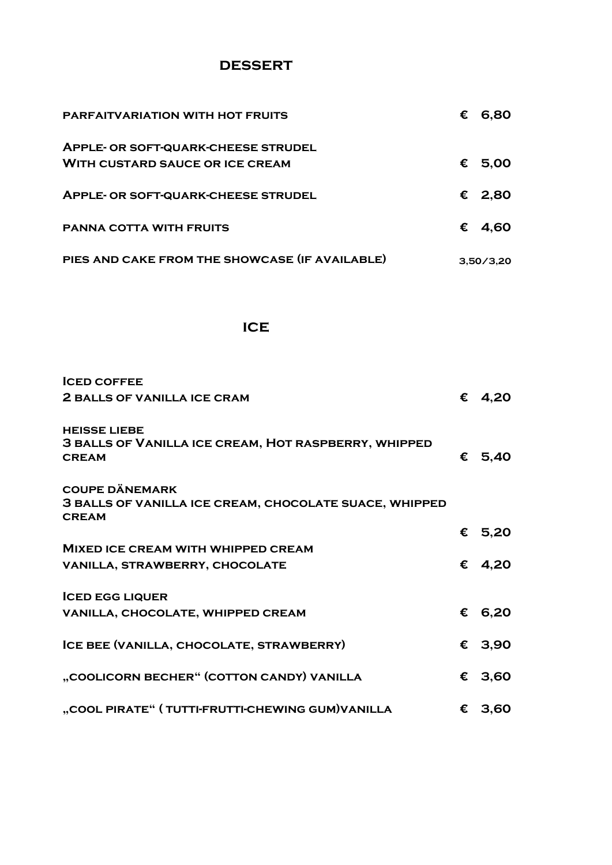### **dessert**

| <b>PARFAITVARIATION WITH HOT FRUITS</b>                                              | € | 6,80            |
|--------------------------------------------------------------------------------------|---|-----------------|
| <b>APPLE- OR SOFT-QUARK-CHEESE STRUDEL</b><br><b>WITH CUSTARD SAUCE OR ICE CREAM</b> |   | € 5,00          |
| <b>APPLE- OR SOFT-QUARK-CHEESE STRUDEL</b>                                           |   | € 2,80          |
| <b>PANNA COTTA WITH FRUITS</b>                                                       |   | $\epsilon$ 4.60 |
| PIES AND CAKE FROM THE SHOWCASE (IF AVAILABLE)                                       |   | 3.50/3.20       |

## **ice**

| <b>ICED COFFEE</b>                                                                          |                 |
|---------------------------------------------------------------------------------------------|-----------------|
| <b>2 BALLS OF VANILLA ICE CRAM</b>                                                          | € 4,20          |
| <b>HEISSE LIEBE</b><br>3 BALLS OF VANILLA ICE CREAM, HOT RASPBERRY, WHIPPED<br><b>CREAM</b> | € $5,40$        |
| <b>COUPE DÄNEMARK</b><br><b>3 BALLS OF VANILLA ICE CREAM, CHOCOLATE SUACE, WHIPPED</b>      |                 |
| <b>CREAM</b>                                                                                |                 |
|                                                                                             | € 5,20          |
| <b>MIXED ICE CREAM WITH WHIPPED CREAM</b>                                                   |                 |
| <b>VANILLA, STRAWBERRY, CHOCOLATE</b>                                                       | € 4,20          |
| <b>ICED EGG LIQUER</b>                                                                      |                 |
| VANILLA, CHOCOLATE, WHIPPED CREAM                                                           | € 6,20          |
| ICE BEE (VANILLA, CHOCOLATE, STRAWBERRY)                                                    | € 3,90          |
| "COOLICORN BECHER" (COTTON CANDY) VANILLA                                                   | € 3,60          |
| "COOL PIRATE" (TUTTI-FRUTTI-CHEWING GUM) VANILLA                                            | $\epsilon$ 3,60 |